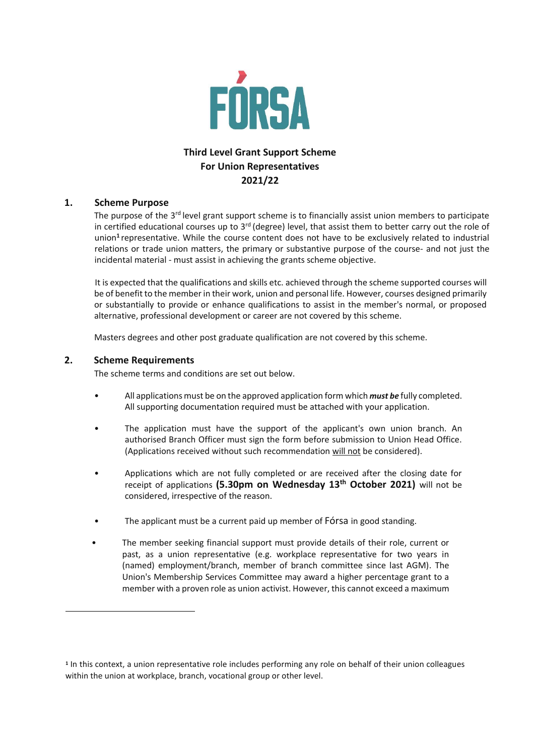

## **Third Level Grant Support Scheme For Union Representatives 2021/22**

## **1. Scheme Purpose**

The purpose of the 3<sup>rd</sup> level grant support scheme is to financially assist union members to participate in certified educational courses up to  $3<sup>rd</sup>$  (degree) level, that assist them to better carry out the role of union**<sup>1</sup>** representative. While the course content does not have to be exclusively related to industrial relations or trade union matters, the primary or substantive purpose of the course- and not just the incidental material - must assist in achieving the grants scheme objective.

It is expected that the qualifications and skills etc. achieved through the scheme supported courses will be of benefit to the member in their work, union and personal life. However, courses designed primarily or substantially to provide or enhance qualifications to assist in the member's normal, or proposed alternative, professional development or career are not covered by this scheme.

Masters degrees and other post graduate qualification are not covered by this scheme.

## **2. Scheme Requirements**

1

The scheme terms and conditions are set out below.

- All applications must be on the approved application form which *must be* fully completed. All supporting documentation required must be attached with your application.
- The application must have the support of the applicant's own union branch. An authorised Branch Officer must sign the form before submission to Union Head Office. (Applications received without such recommendation will not be considered).
- Applications which are not fully completed or are received after the closing date for receipt of applications **(5.30pm on Wednesday 13th October 2021)** will not be considered, irrespective of the reason.
- The applicant must be a current paid up member of Fórsa in good standing.
- The member seeking financial support must provide details of their role, current or past, as a union representative (e.g. workplace representative for two years in (named) employment/branch, member of branch committee since last AGM). The Union's Membership Services Committee may award a higher percentage grant to a member with a proven role as union activist. However, this cannot exceed a maximum

**<sup>1</sup>** In this context, a union representative role includes performing any role on behalf of their union colleagues within the union at workplace, branch, vocational group or other level.